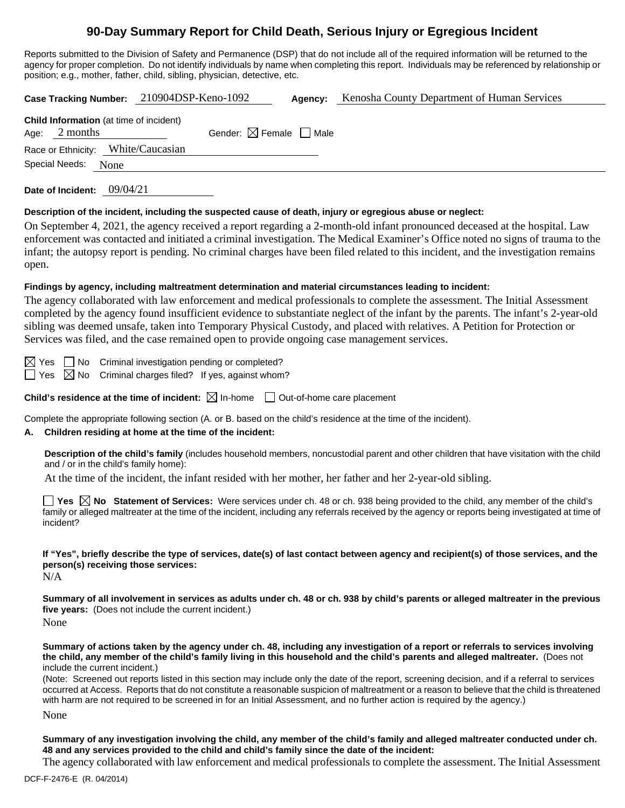# **90-Day Summary Report for Child Death, Serious Injury or Egregious Incident**

Reports submitted to the Division of Safety and Permanence (DSP) that do not include all of the required information will be returned to the agency for proper completion. Do not identify individuals by name when completing this report. Individuals may be referenced by relationship or position; e.g., mother, father, child, sibling, physician, detective, etc.

|                                                                   |      | Case Tracking Number: 210904DSP-Keno-1092 |                                        | Agency: | Kenosha County Department of Human Services |  |  |
|-------------------------------------------------------------------|------|-------------------------------------------|----------------------------------------|---------|---------------------------------------------|--|--|
| <b>Child Information</b> (at time of incident)<br>Age: $2$ months |      |                                           | Gender: $\boxtimes$ Female $\Box$ Male |         |                                             |  |  |
| Race or Ethnicity: White/Caucasian<br>Special Needs:              | None |                                           |                                        |         |                                             |  |  |
|                                                                   |      |                                           |                                        |         |                                             |  |  |

**Date of Incident:** 09/04/21

#### **Description of the incident, including the suspected cause of death, injury or egregious abuse or neglect:**

On September 4, 2021, the agency received a report regarding a 2-month-old infant pronounced deceased at the hospital. Law enforcement was contacted and initiated a criminal investigation. The Medical Examiner's Office noted no signs of trauma to the infant; the autopsy report is pending. No criminal charges have been filed related to this incident, and the investigation remains open.

### **Findings by agency, including maltreatment determination and material circumstances leading to incident:**

The agency collaborated with law enforcement and medical professionals to complete the assessment. The Initial Assessment completed by the agency found insufficient evidence to substantiate neglect of the infant by the parents. The infant's 2-year-old sibling was deemed unsafe, taken into Temporary Physical Custody, and placed with relatives. A Petition for Protection or Services was filed, and the case remained open to provide ongoing case management services.

 $\boxtimes$  Yes  $\Box$  No Criminal investigation pending or completed?  $\Box$  Yes  $\boxtimes$  No Criminal charges filed? If yes, against whom?

**Child's residence at the time of incident:**  $\boxtimes$  In-home  $\Box$  Out-of-home care placement

Complete the appropriate following section (A. or B. based on the child's residence at the time of the incident).

### **A. Children residing at home at the time of the incident:**

**Description of the child's family** (includes household members, noncustodial parent and other children that have visitation with the child and / or in the child's family home):

At the time of the incident, the infant resided with her mother, her father and her 2-year-old sibling.

**Yes No Statement of Services:** Were services under ch. 48 or ch. 938 being provided to the child, any member of the child's family or alleged maltreater at the time of the incident, including any referrals received by the agency or reports being investigated at time of incident?

**If "Yes", briefly describe the type of services, date(s) of last contact between agency and recipient(s) of those services, and the person(s) receiving those services:**

N/A

**Summary of all involvement in services as adults under ch. 48 or ch. 938 by child's parents or alleged maltreater in the previous five years:** (Does not include the current incident.) None

**Summary of actions taken by the agency under ch. 48, including any investigation of a report or referrals to services involving the child, any member of the child's family living in this household and the child's parents and alleged maltreater.** (Does not include the current incident.)

(Note: Screened out reports listed in this section may include only the date of the report, screening decision, and if a referral to services occurred at Access. Reports that do not constitute a reasonable suspicion of maltreatment or a reason to believe that the child is threatened with harm are not required to be screened in for an Initial Assessment, and no further action is required by the agency.)

None

**Summary of any investigation involving the child, any member of the child's family and alleged maltreater conducted under ch. 48 and any services provided to the child and child's family since the date of the incident:**

The agency collaborated with law enforcement and medical professionals to complete the assessment. The Initial Assessment